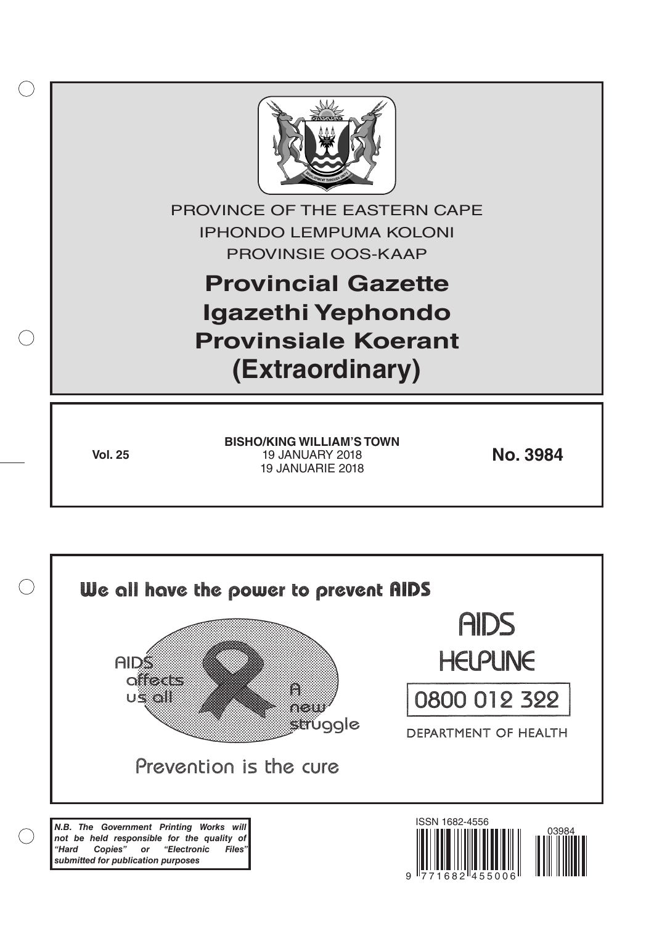

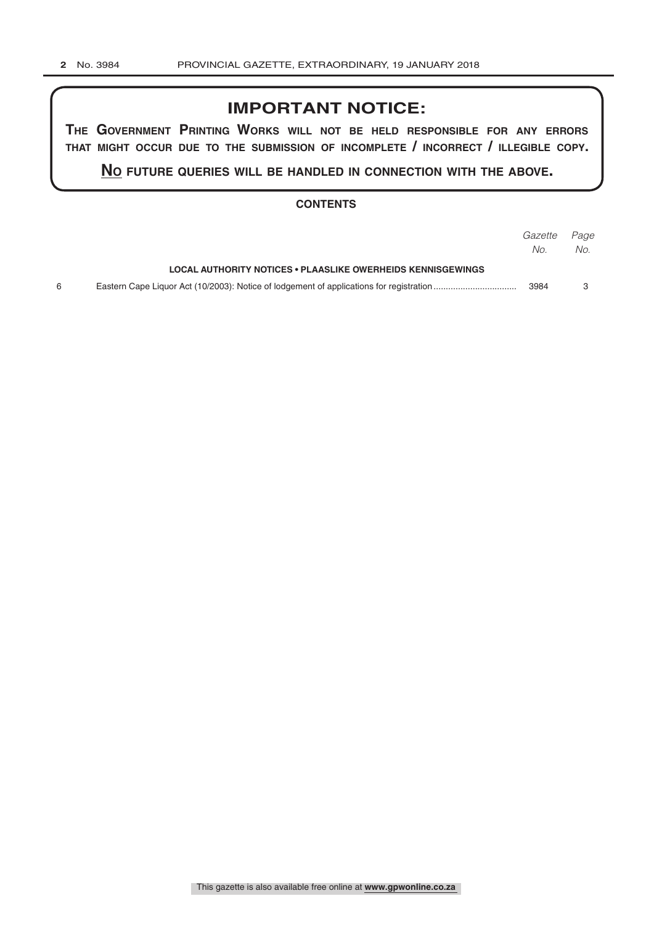## **IMPORTANT NOTICE:**

**The GovernmenT PrinTinG Works Will noT be held resPonsible for any errors ThaT miGhT occur due To The submission of incomPleTe / incorrecT / illeGible coPy.**

**no fuTure queries Will be handled in connecTion WiTh The above.**

## **CONTENTS**

|                                                                    | <i>Gazette Page</i> |     |
|--------------------------------------------------------------------|---------------------|-----|
|                                                                    | No.                 | No. |
| <b>LOCAL AUTHORITY NOTICES • PLAASLIKE OWERHEIDS KENNISGEWINGS</b> |                     |     |
|                                                                    | 3984                |     |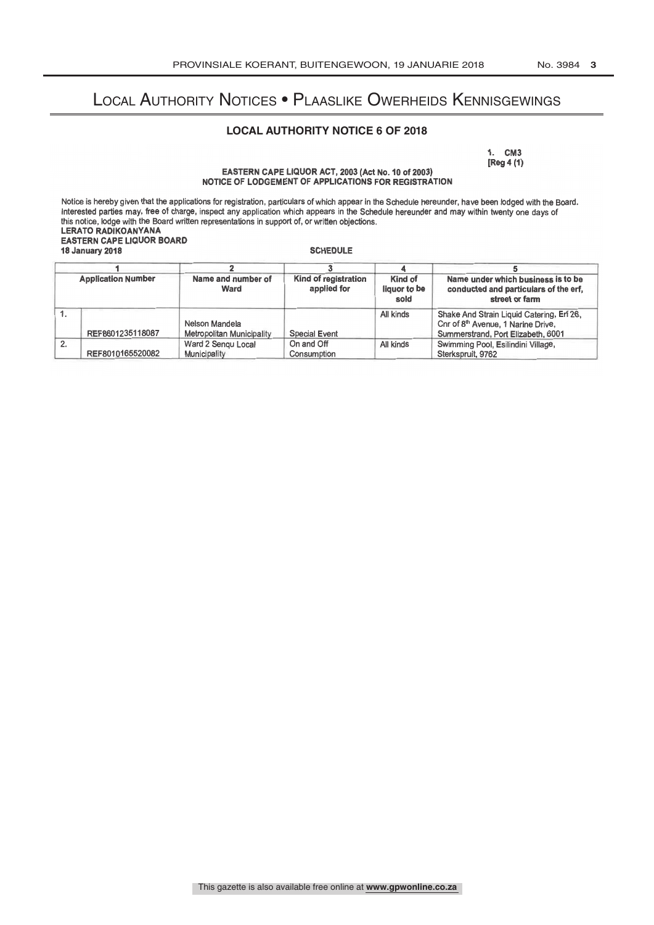## Local Authority Notices • Plaaslike Owerheids Kennisgewings

## **LOCAL AUTHORITY NOTICE 6 OF 2018**

1. CM3 [Reg 4 (1)

EASTERN CAPE LIQUOR ACT, 2003 (Act No. 10 of 2003) NOTICE OF LODGEMENT OF APPLICATIONS FOR REGISTRATION

Notice is hereby given that the applications for registration, particulars of which appear in the Schedule hereunder, have been lodged with the Board. Interested parties may, free of charge, inspect any application which appears in the Schedule hereunder and may within twenty one days of this notice, lodge with the Board written representations in support of, or written objections. LERATO RADIKOANYANA EASTERN CAPE LIQUOR BOARD 18 January 2018 **SCHEDULE** 

| <b>Application Number</b> |                  | Name and number of<br>Ward         | Kind of registration<br>applied for | Kind of<br>liquor to be<br>sold | Name under which business is to be<br>conducted and particulars of the erf.<br>street or farm |  |
|---------------------------|------------------|------------------------------------|-------------------------------------|---------------------------------|-----------------------------------------------------------------------------------------------|--|
|                           |                  |                                    |                                     |                                 |                                                                                               |  |
| 2.                        | REF8010165520082 | Ward 2 Sengu Local<br>Municipality | On and Off<br>Consumption           | All kinds                       | Swimming Pool, Esilindini Village,<br>Sterkspruit, 9762                                       |  |